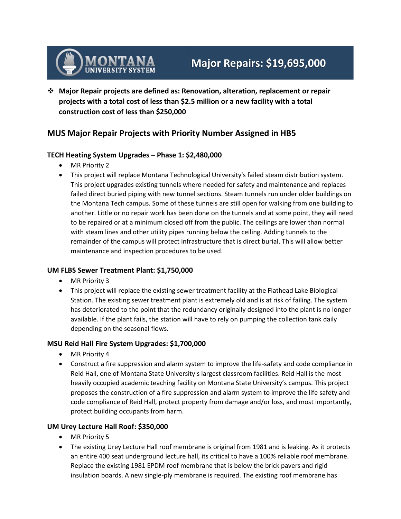

 **Major Repair projects are defined as: Renovation, alteration, replacement or repair projects with a total cost of less than \$2.5 million or a new facility with a total construction cost of less than \$250,000**

# **MUS Major Repair Projects with Priority Number Assigned in HB5**

## **TECH Heating System Upgrades – Phase 1: \$2,480,000**

- MR Priority 2
- This project will replace Montana Technological University's failed steam distribution system. This project upgrades existing tunnels where needed for safety and maintenance and replaces failed direct buried piping with new tunnel sections. Steam tunnels run under older buildings on the Montana Tech campus. Some of these tunnels are still open for walking from one building to another. Little or no repair work has been done on the tunnels and at some point, they will need to be repaired or at a minimum closed off from the public. The ceilings are lower than normal with steam lines and other utility pipes running below the ceiling. Adding tunnels to the remainder of the campus will protect infrastructure that is direct burial. This will allow better maintenance and inspection procedures to be used.

#### **UM FLBS Sewer Treatment Plant: \$1,750,000**

- MR Priority 3
- This project will replace the existing sewer treatment facility at the Flathead Lake Biological Station. The existing sewer treatment plant is extremely old and is at risk of failing. The system has deteriorated to the point that the redundancy originally designed into the plant is no longer available. If the plant fails, the station will have to rely on pumping the collection tank daily depending on the seasonal flows.

#### **MSU Reid Hall Fire System Upgrades: \$1,700,000**

- MR Priority 4
- Construct a fire suppression and alarm system to improve the life-safety and code compliance in Reid Hall, one of Montana State University's largest classroom facilities. Reid Hall is the most heavily occupied academic teaching facility on Montana State University's campus. This project proposes the construction of a fire suppression and alarm system to improve the life safety and code compliance of Reid Hall, protect property from damage and/or loss, and most importantly, protect building occupants from harm.

#### **UM Urey Lecture Hall Roof: \$350,000**

- MR Priority 5
- The existing Urey Lecture Hall roof membrane is original from 1981 and is leaking. As it protects an entire 400 seat underground lecture hall, its critical to have a 100% reliable roof membrane. Replace the existing 1981 EPDM roof membrane that is below the brick pavers and rigid insulation boards. A new single-ply membrane is required. The existing roof membrane has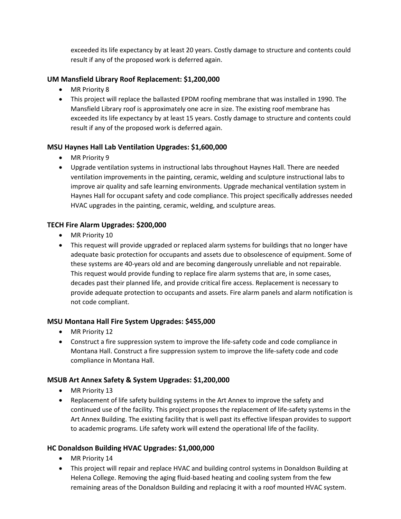exceeded its life expectancy by at least 20 years. Costly damage to structure and contents could result if any of the proposed work is deferred again.

## **UM Mansfield Library Roof Replacement: \$1,200,000**

- MR Priority 8
- This project will replace the ballasted EPDM roofing membrane that was installed in 1990. The Mansfield Library roof is approximately one acre in size. The existing roof membrane has exceeded its life expectancy by at least 15 years. Costly damage to structure and contents could result if any of the proposed work is deferred again.

## **MSU Haynes Hall Lab Ventilation Upgrades: \$1,600,000**

- MR Priority 9
- Upgrade ventilation systems in instructional labs throughout Haynes Hall. There are needed ventilation improvements in the painting, ceramic, welding and sculpture instructional labs to improve air quality and safe learning environments. Upgrade mechanical ventilation system in Haynes Hall for occupant safety and code compliance. This project specifically addresses needed HVAC upgrades in the painting, ceramic, welding, and sculpture areas.

## **TECH Fire Alarm Upgrades: \$200,000**

- MR Priority 10
- This request will provide upgraded or replaced alarm systems for buildings that no longer have adequate basic protection for occupants and assets due to obsolescence of equipment. Some of these systems are 40-years old and are becoming dangerously unreliable and not repairable. This request would provide funding to replace fire alarm systems that are, in some cases, decades past their planned life, and provide critical fire access. Replacement is necessary to provide adequate protection to occupants and assets. Fire alarm panels and alarm notification is not code compliant.

#### **MSU Montana Hall Fire System Upgrades: \$455,000**

- MR Priority 12
- Construct a fire suppression system to improve the life-safety code and code compliance in Montana Hall. Construct a fire suppression system to improve the life-safety code and code compliance in Montana Hall.

#### **MSUB Art Annex Safety & System Upgrades: \$1,200,000**

- MR Priority 13
- Replacement of life safety building systems in the Art Annex to improve the safety and continued use of the facility. This project proposes the replacement of life-safety systems in the Art Annex Building. The existing facility that is well past its effective lifespan provides to support to academic programs. Life safety work will extend the operational life of the facility.

#### **HC Donaldson Building HVAC Upgrades: \$1,000,000**

- MR Priority 14
- This project will repair and replace HVAC and building control systems in Donaldson Building at Helena College. Removing the aging fluid-based heating and cooling system from the few remaining areas of the Donaldson Building and replacing it with a roof mounted HVAC system.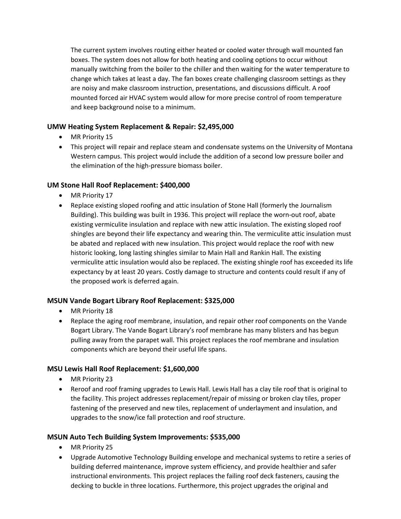The current system involves routing either heated or cooled water through wall mounted fan boxes. The system does not allow for both heating and cooling options to occur without manually switching from the boiler to the chiller and then waiting for the water temperature to change which takes at least a day. The fan boxes create challenging classroom settings as they are noisy and make classroom instruction, presentations, and discussions difficult. A roof mounted forced air HVAC system would allow for more precise control of room temperature and keep background noise to a minimum.

## **UMW Heating System Replacement & Repair: \$2,495,000**

- MR Priority 15
- This project will repair and replace steam and condensate systems on the University of Montana Western campus. This project would include the addition of a second low pressure boiler and the elimination of the high-pressure biomass boiler.

## **UM Stone Hall Roof Replacement: \$400,000**

- MR Priority 17
- Replace existing sloped roofing and attic insulation of Stone Hall (formerly the Journalism Building). This building was built in 1936. This project will replace the worn-out roof, abate existing vermiculite insulation and replace with new attic insulation. The existing sloped roof shingles are beyond their life expectancy and wearing thin. The vermiculite attic insulation must be abated and replaced with new insulation. This project would replace the roof with new historic looking, long lasting shingles similar to Main Hall and Rankin Hall. The existing vermiculite attic insulation would also be replaced. The existing shingle roof has exceeded its life expectancy by at least 20 years. Costly damage to structure and contents could result if any of the proposed work is deferred again.

#### **MSUN Vande Bogart Library Roof Replacement: \$325,000**

- MR Priority 18
- Replace the aging roof membrane, insulation, and repair other roof components on the Vande Bogart Library. The Vande Bogart Library's roof membrane has many blisters and has begun pulling away from the parapet wall. This project replaces the roof membrane and insulation components which are beyond their useful life spans.

#### **MSU Lewis Hall Roof Replacement: \$1,600,000**

- MR Priority 23
- Reroof and roof framing upgrades to Lewis Hall. Lewis Hall has a clay tile roof that is original to the facility. This project addresses replacement/repair of missing or broken clay tiles, proper fastening of the preserved and new tiles, replacement of underlayment and insulation, and upgrades to the snow/ice fall protection and roof structure.

#### **MSUN Auto Tech Building System Improvements: \$535,000**

- MR Priority 25
- Upgrade Automotive Technology Building envelope and mechanical systems to retire a series of building deferred maintenance, improve system efficiency, and provide healthier and safer instructional environments. This project replaces the failing roof deck fasteners, causing the decking to buckle in three locations. Furthermore, this project upgrades the original and